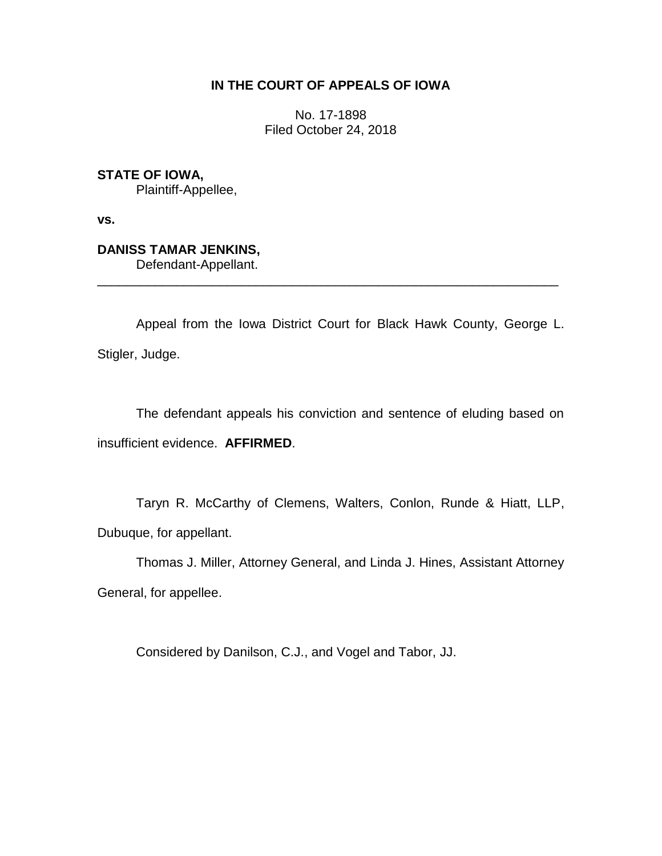# **IN THE COURT OF APPEALS OF IOWA**

No. 17-1898 Filed October 24, 2018

**STATE OF IOWA,** Plaintiff-Appellee,

**vs.**

**DANISS TAMAR JENKINS,**

Defendant-Appellant.

Appeal from the Iowa District Court for Black Hawk County, George L. Stigler, Judge.

\_\_\_\_\_\_\_\_\_\_\_\_\_\_\_\_\_\_\_\_\_\_\_\_\_\_\_\_\_\_\_\_\_\_\_\_\_\_\_\_\_\_\_\_\_\_\_\_\_\_\_\_\_\_\_\_\_\_\_\_\_\_\_\_

The defendant appeals his conviction and sentence of eluding based on insufficient evidence. **AFFIRMED**.

Taryn R. McCarthy of Clemens, Walters, Conlon, Runde & Hiatt, LLP, Dubuque, for appellant.

Thomas J. Miller, Attorney General, and Linda J. Hines, Assistant Attorney General, for appellee.

Considered by Danilson, C.J., and Vogel and Tabor, JJ.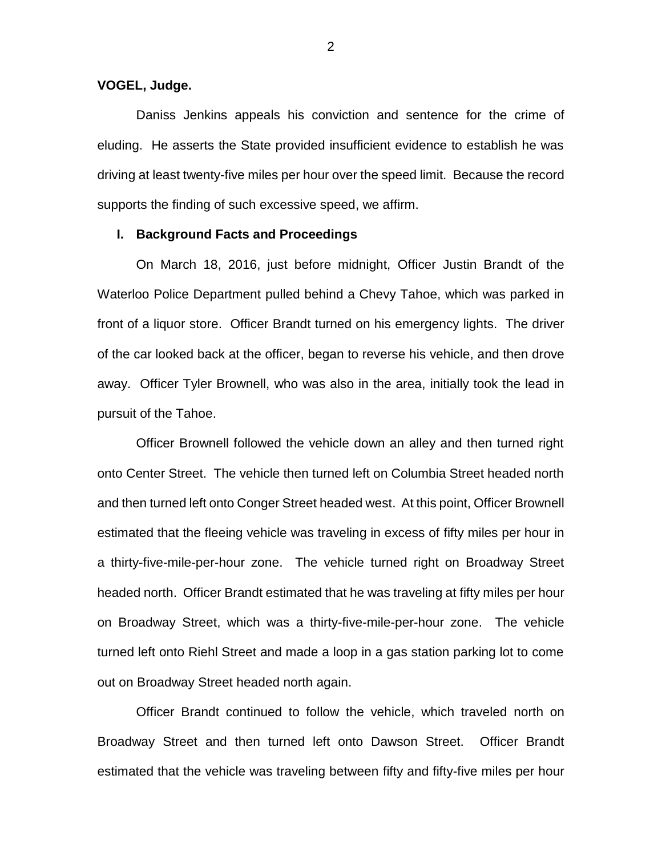# **VOGEL, Judge.**

Daniss Jenkins appeals his conviction and sentence for the crime of eluding. He asserts the State provided insufficient evidence to establish he was driving at least twenty-five miles per hour over the speed limit. Because the record supports the finding of such excessive speed, we affirm.

# **I. Background Facts and Proceedings**

On March 18, 2016, just before midnight, Officer Justin Brandt of the Waterloo Police Department pulled behind a Chevy Tahoe, which was parked in front of a liquor store. Officer Brandt turned on his emergency lights. The driver of the car looked back at the officer, began to reverse his vehicle, and then drove away. Officer Tyler Brownell, who was also in the area, initially took the lead in pursuit of the Tahoe.

Officer Brownell followed the vehicle down an alley and then turned right onto Center Street. The vehicle then turned left on Columbia Street headed north and then turned left onto Conger Street headed west. At this point, Officer Brownell estimated that the fleeing vehicle was traveling in excess of fifty miles per hour in a thirty-five-mile-per-hour zone. The vehicle turned right on Broadway Street headed north. Officer Brandt estimated that he was traveling at fifty miles per hour on Broadway Street, which was a thirty-five-mile-per-hour zone. The vehicle turned left onto Riehl Street and made a loop in a gas station parking lot to come out on Broadway Street headed north again.

Officer Brandt continued to follow the vehicle, which traveled north on Broadway Street and then turned left onto Dawson Street. Officer Brandt estimated that the vehicle was traveling between fifty and fifty-five miles per hour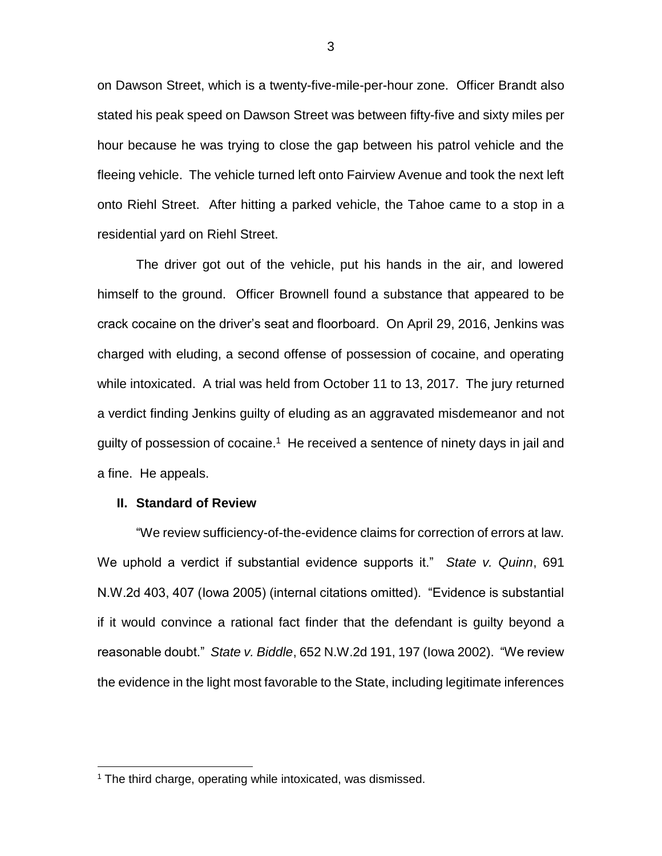on Dawson Street, which is a twenty-five-mile-per-hour zone. Officer Brandt also stated his peak speed on Dawson Street was between fifty-five and sixty miles per hour because he was trying to close the gap between his patrol vehicle and the fleeing vehicle. The vehicle turned left onto Fairview Avenue and took the next left onto Riehl Street. After hitting a parked vehicle, the Tahoe came to a stop in a residential yard on Riehl Street.

The driver got out of the vehicle, put his hands in the air, and lowered himself to the ground. Officer Brownell found a substance that appeared to be crack cocaine on the driver's seat and floorboard. On April 29, 2016, Jenkins was charged with eluding, a second offense of possession of cocaine, and operating while intoxicated. A trial was held from October 11 to 13, 2017. The jury returned a verdict finding Jenkins guilty of eluding as an aggravated misdemeanor and not guilty of possession of cocaine.<sup>1</sup> He received a sentence of ninety days in jail and a fine. He appeals.

#### **II. Standard of Review**

 $\overline{a}$ 

"We review sufficiency-of-the-evidence claims for correction of errors at law. We uphold a verdict if substantial evidence supports it." *State v. Quinn*, 691 N.W.2d 403, 407 (Iowa 2005) (internal citations omitted). "Evidence is substantial if it would convince a rational fact finder that the defendant is guilty beyond a reasonable doubt." *State v. Biddle*, 652 N.W.2d 191, 197 (Iowa 2002). "We review the evidence in the light most favorable to the State, including legitimate inferences

<sup>&</sup>lt;sup>1</sup> The third charge, operating while intoxicated, was dismissed.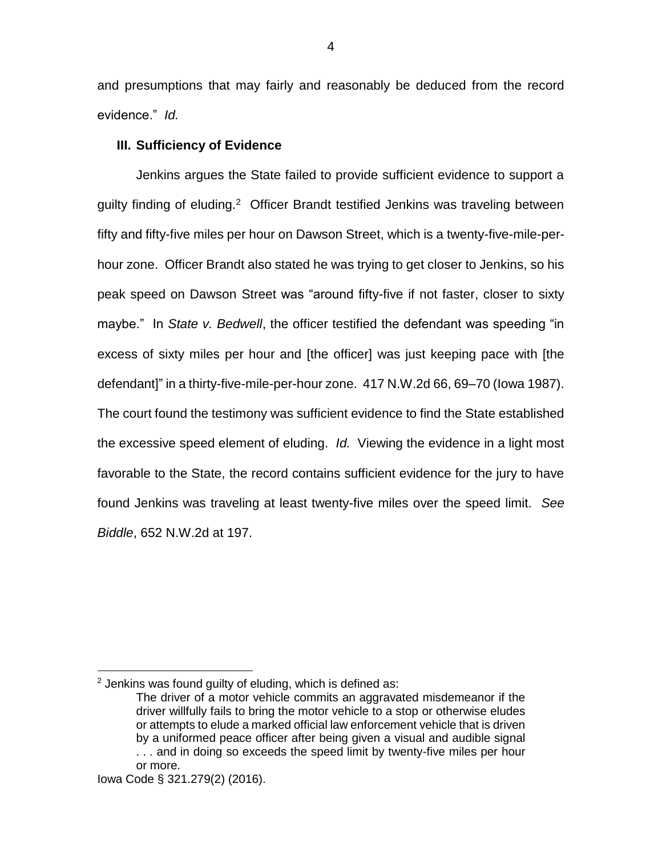and presumptions that may fairly and reasonably be deduced from the record evidence." *Id.*

# **III. Sufficiency of Evidence**

Jenkins argues the State failed to provide sufficient evidence to support a guilty finding of eluding.<sup>2</sup> Officer Brandt testified Jenkins was traveling between fifty and fifty-five miles per hour on Dawson Street, which is a twenty-five-mile-perhour zone. Officer Brandt also stated he was trying to get closer to Jenkins, so his peak speed on Dawson Street was "around fifty-five if not faster, closer to sixty maybe." In *State v. Bedwell*, the officer testified the defendant was speeding "in excess of sixty miles per hour and [the officer] was just keeping pace with [the defendant]" in a thirty-five-mile-per-hour zone. 417 N.W.2d 66, 69–70 (Iowa 1987). The court found the testimony was sufficient evidence to find the State established the excessive speed element of eluding. *Id.* Viewing the evidence in a light most favorable to the State, the record contains sufficient evidence for the jury to have found Jenkins was traveling at least twenty-five miles over the speed limit. *See Biddle*, 652 N.W.2d at 197.

 $\overline{a}$ 

 $2$  Jenkins was found guilty of eluding, which is defined as:

The driver of a motor vehicle commits an aggravated misdemeanor if the driver willfully fails to bring the motor vehicle to a stop or otherwise eludes or attempts to elude a marked official law enforcement vehicle that is driven by a uniformed peace officer after being given a visual and audible signal ... and in doing so exceeds the speed limit by twenty-five miles per hour or more.

Iowa Code § 321.279(2) (2016).